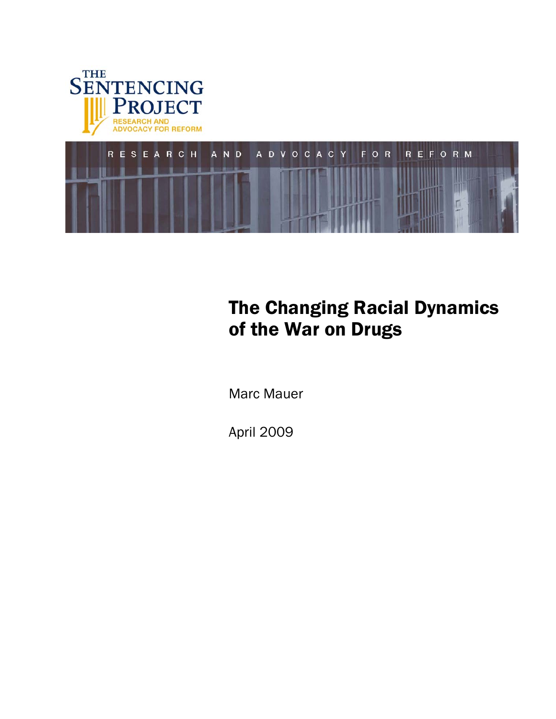



# The Changing Racial Dynamics of the War on Drugs

Marc Mauer

April 2009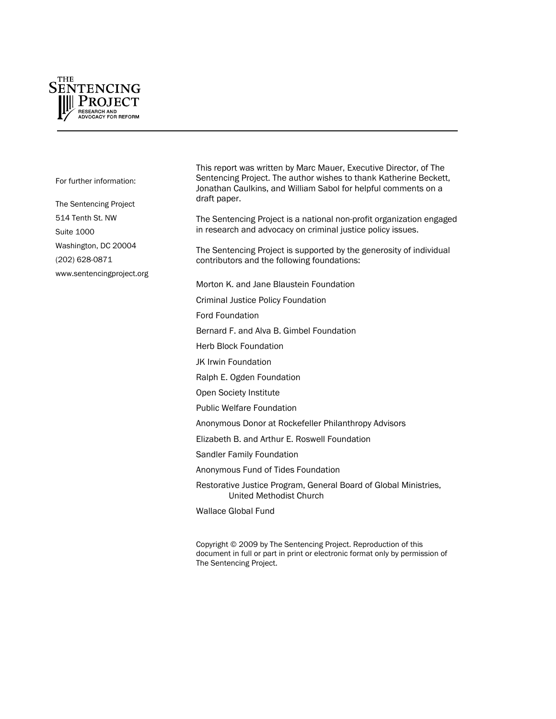

For further information:

The Sentencing Project 514 Tenth St. NW Suite 1000 Washington, DC 20004 (202) 628-0871 [www.sentencingproject.org](http://www.sentencingproject.org/) This report was written by Marc Mauer, Executive Director, of The Sentencing Project. The author wishes to thank Katherine Beckett, Jonathan Caulkins, and William Sabol for helpful comments on a draft paper.

The Sentencing Project is a national non-profit organization engaged in research and advocacy on criminal justice policy issues.

The Sentencing Project is supported by the generosity of individual contributors and the following foundations:

Morton K. and Jane Blaustein Foundation

Criminal Justice Policy Foundation

Ford Foundation

Bernard F. and Alva B. Gimbel Foundation

Herb Block Foundation

JK Irwin Foundation

Ralph E. Ogden Foundation

Open Society Institute

Public Welfare Foundation

Anonymous Donor at Rockefeller Philanthropy Advisors

Elizabeth B. and Arthur E. Roswell Foundation

Sandler Family Foundation

Anonymous Fund of Tides Foundation

Restorative Justice Program, General Board of Global Ministries, United Methodist Church

Wallace Global Fund

Copyright © 2009 by The Sentencing Project. Reproduction of this document in full or part in print or electronic format only by permission of The Sentencing Project.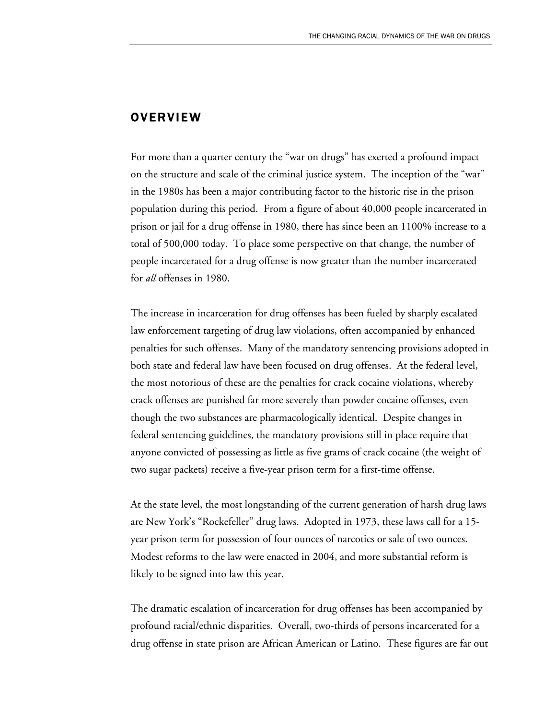### **OVERVIEW**

For more than a quarter century the "war on drugs" has exerted a profound impact on the structure and scale of the criminal justice system. The inception of the "war" in the 1980s has been a major contributing factor to the historic rise in the prison population during this period. From a figure of about 40,000 people incarcerated in prison or jail for a drug offense in 1980, there has since been an 1100% increase to a total of 500,000 today. To place some perspective on that change, the number of people incarcerated for a drug offense is now greater than the number incarcerated for *all* offenses in 1980.

The increase in incarceration for drug offenses has been fueled by sharply escalated law enforcement targeting of drug law violations, often accompanied by enhanced penalties for such offenses. Many of the mandatory sentencing provisions adopted in both state and federal law have been focused on drug offenses. At the federal level, the most notorious of these are the penalties for crack cocaine violations, whereby crack offenses are punished far more severely than powder cocaine offenses, even though the two substances are pharmacologically identical. Despite changes in federal sentencing guidelines, the mandatory provisions still in place require that anyone convicted of possessing as little as five grams of crack cocaine (the weight of two sugar packets) receive a five-year prison term for a first-time offense.

At the state level, the most longstanding of the current generation of harsh drug laws are New York's "Rockefeller" drug laws. Adopted in 1973, these laws call for a 15 year prison term for possession of four ounces of narcotics or sale of two ounces. Modest reforms to the law were enacted in 2004, and more substantial reform is likely to be signed into law this year.

The dramatic escalation of incarceration for drug offenses has been accompanied by profound racial/ethnic disparities. Overall, two-thirds of persons incarcerated for a drug offense in state prison are African American or Latino. These figures are far out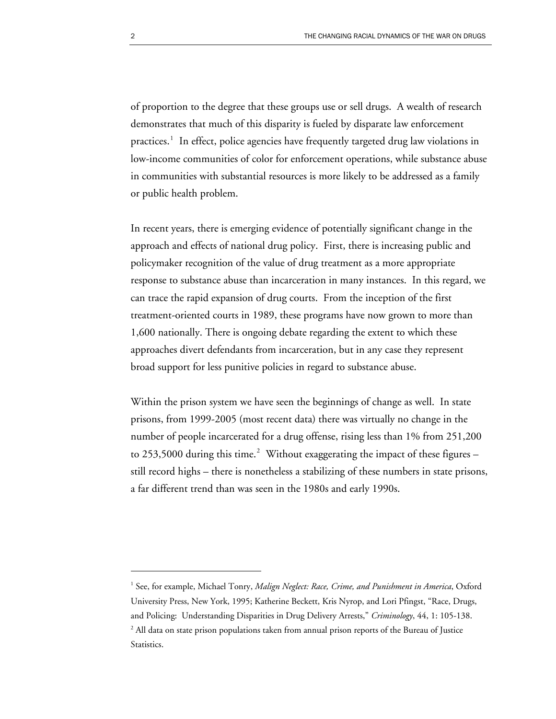of proportion to the degree that these groups use or sell drugs. A wealth of research demonstrates that much of this disparity is fueled by disparate law enforcement practices.<sup>[1](#page-3-0)</sup> In effect, police agencies have frequently targeted drug law violations in low-income communities of color for enforcement operations, while substance abuse in communities with substantial resources is more likely to be addressed as a family or public health problem.

In recent years, there is emerging evidence of potentially significant change in the approach and effects of national drug policy. First, there is increasing public and policymaker recognition of the value of drug treatment as a more appropriate response to substance abuse than incarceration in many instances. In this regard, we can trace the rapid expansion of drug courts. From the inception of the first treatment-oriented courts in 1989, these programs have now grown to more than 1,600 nationally. There is ongoing debate regarding the extent to which these approaches divert defendants from incarceration, but in any case they represent broad support for less punitive policies in regard to substance abuse.

Within the prison system we have seen the beginnings of change as well. In state prisons, from 1999-2005 (most recent data) there was virtually no change in the number of people incarcerated for a drug offense, rising less than 1% from 251,200 to [2](#page-3-1)53,5000 during this time.<sup>2</sup> Without exaggerating the impact of these figures – still record highs – there is nonetheless a stabilizing of these numbers in state prisons, a far different trend than was seen in the 1980s and early 1990s.

<span id="page-3-1"></span><span id="page-3-0"></span><sup>&</sup>lt;sup>1</sup> See, for example, Michael Tonry, *Malign Neglect: Race, Crime, and Punishment in America*, Oxford University Press, New York, 1995; Katherine Beckett, Kris Nyrop, and Lori Pfingst, "Race, Drugs, and Policing: Understanding Disparities in Drug Delivery Arrests," *Criminology*, 44, 1: 105-138.  $^2$  All data on state prison populations taken from annual prison reports of the Bureau of Justice Statistics.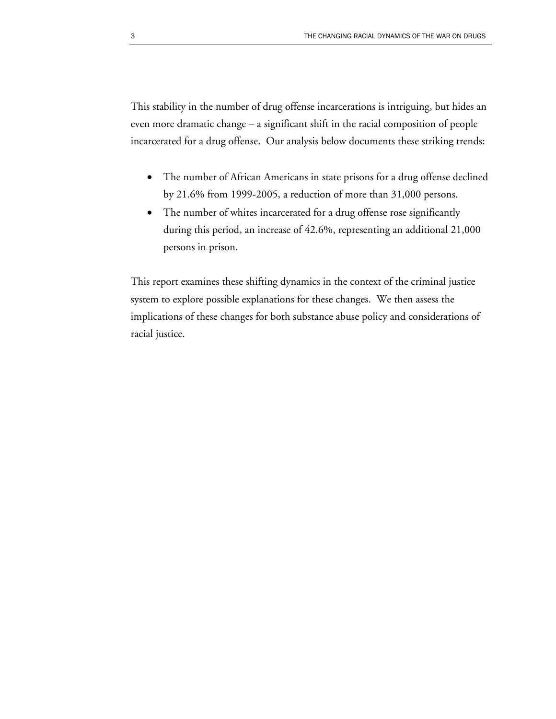This stability in the number of drug offense incarcerations is intriguing, but hides an even more dramatic change – a significant shift in the racial composition of people incarcerated for a drug offense. Our analysis below documents these striking trends:

- The number of African Americans in state prisons for a drug offense declined by 21.6% from 1999-2005, a reduction of more than 31,000 persons.
- The number of whites incarcerated for a drug offense rose significantly during this period, an increase of 42.6%, representing an additional 21,000 persons in prison.

This report examines these shifting dynamics in the context of the criminal justice system to explore possible explanations for these changes. We then assess the implications of these changes for both substance abuse policy and considerations of racial justice.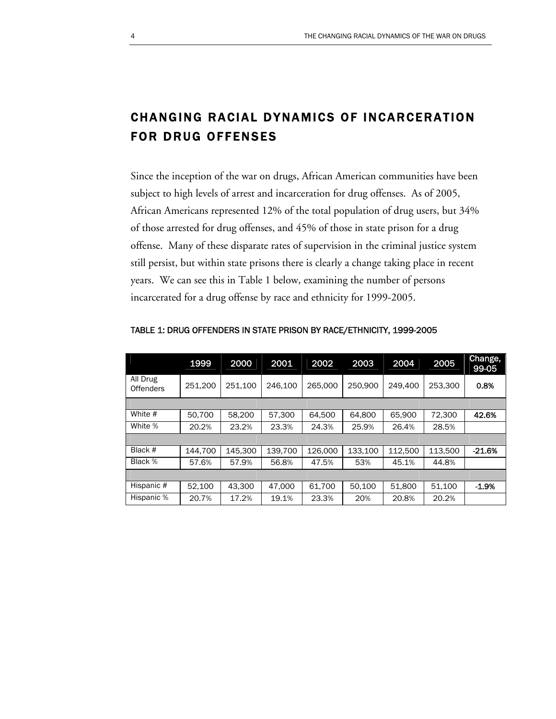# CHANGING RACIAL DYNAMICS OF INCARCERATION FOR DRUG OFFENSES

Since the inception of the war on drugs, African American communities have been subject to high levels of arrest and incarceration for drug offenses. As of 2005, African Americans represented 12% of the total population of drug users, but 34% of those arrested for drug offenses, and 45% of those in state prison for a drug offense. Many of these disparate rates of supervision in the criminal justice system still persist, but within state prisons there is clearly a change taking place in recent years. We can see this in Table 1 below, examining the number of persons incarcerated for a drug offense by race and ethnicity for 1999-2005.

|                              | 1999    | 2000    | 2001    | 2002    | 2003    | 2004    | 2005    | Change,<br>99-05 |
|------------------------------|---------|---------|---------|---------|---------|---------|---------|------------------|
| All Drug<br><b>Offenders</b> | 251,200 | 251.100 | 246.100 | 265,000 | 250,900 | 249.400 | 253.300 | 0.8%             |
|                              |         |         |         |         |         |         |         |                  |
| White #                      | 50.700  | 58,200  | 57.300  | 64.500  | 64.800  | 65,900  | 72.300  | 42.6%            |
| White %                      | 20.2%   | 23.2%   | 23.3%   | 24.3%   | 25.9%   | 26.4%   | 28.5%   |                  |
|                              |         |         |         |         |         |         |         |                  |
| Black #                      | 144.700 | 145.300 | 139.700 | 126,000 | 133,100 | 112,500 | 113,500 | $-21.6%$         |
| Black %                      | 57.6%   | 57.9%   | 56.8%   | 47.5%   | 53%     | 45.1%   | 44.8%   |                  |
|                              |         |         |         |         |         |         |         |                  |
| Hispanic #                   | 52.100  | 43.300  | 47.000  | 61.700  | 50.100  | 51,800  | 51,100  | $-1.9%$          |
| Hispanic %                   | 20.7%   | 17.2%   | 19.1%   | 23.3%   | 20%     | 20.8%   | 20.2%   |                  |

#### TABLE 1: DRUG OFFENDERS IN STATE PRISON BY RACE/ETHNICITY, 1999-2005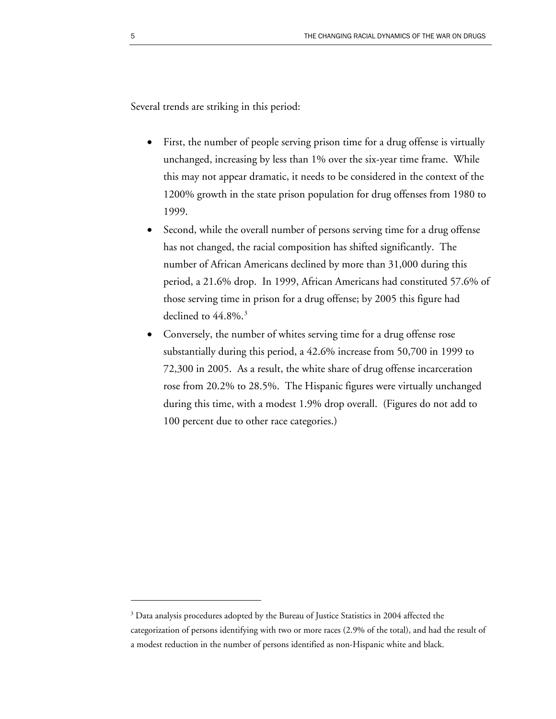Several trends are striking in this period:

- First, the number of people serving prison time for a drug offense is virtually unchanged, increasing by less than 1% over the six-year time frame. While this may not appear dramatic, it needs to be considered in the context of the 1200% growth in the state prison population for drug offenses from 1980 to 1999.
- Second, while the overall number of persons serving time for a drug offense has not changed, the racial composition has shifted significantly. The number of African Americans declined by more than 31,000 during this period, a 21.6% drop. In 1999, African Americans had constituted 57.6% of those serving time in prison for a drug offense; by 2005 this figure had declined to  $44.8\%$ .<sup>[3](#page-6-0)</sup>
- Conversely, the number of whites serving time for a drug offense rose substantially during this period, a 42.6% increase from 50,700 in 1999 to 72,300 in 2005. As a result, the white share of drug offense incarceration rose from 20.2% to 28.5%. The Hispanic figures were virtually unchanged during this time, with a modest 1.9% drop overall. (Figures do not add to 100 percent due to other race categories.)

<span id="page-6-0"></span> $3$  Data analysis procedures adopted by the Bureau of Justice Statistics in 2004 affected the categorization of persons identifying with two or more races (2.9% of the total), and had the result of a modest reduction in the number of persons identified as non-Hispanic white and black.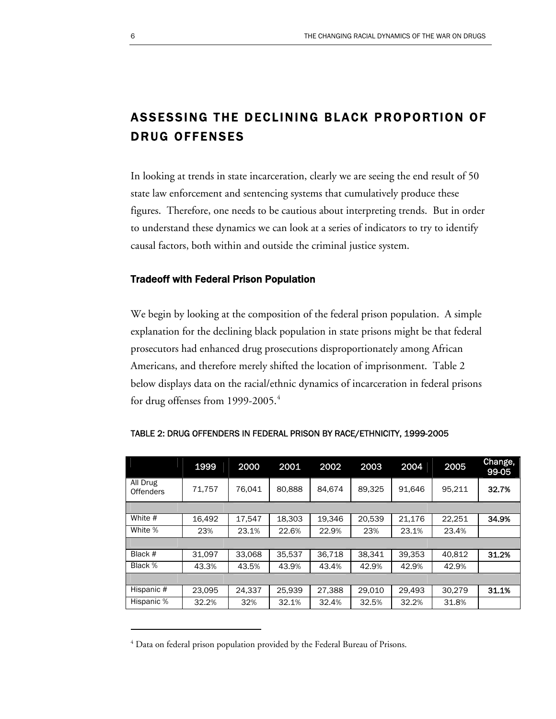# ASSESSING THE DECLINING BLACK PROPORTION OF DRUG OFFENSES

In looking at trends in state incarceration, clearly we are seeing the end result of 50 state law enforcement and sentencing systems that cumulatively produce these figures. Therefore, one needs to be cautious about interpreting trends. But in order to understand these dynamics we can look at a series of indicators to try to identify causal factors, both within and outside the criminal justice system.

#### Tradeoff with Federal Prison Population

We begin by looking at the composition of the federal prison population. A simple explanation for the declining black population in state prisons might be that federal prosecutors had enhanced drug prosecutions disproportionately among African Americans, and therefore merely shifted the location of imprisonment. Table 2 below displays data on the racial/ethnic dynamics of incarceration in federal prisons for drug offenses from 1999-2005.<sup>[4](#page-7-0)</sup>

|                              | 1999   | 2000   | 2001   | 2002   | 2003   | 2004   | 2005   | Change,<br>99-05 |
|------------------------------|--------|--------|--------|--------|--------|--------|--------|------------------|
| All Drug<br><b>Offenders</b> | 71.757 | 76.041 | 80,888 | 84.674 | 89,325 | 91.646 | 95,211 | 32.7%            |
|                              |        |        |        |        |        |        |        |                  |
| White #                      | 16.492 | 17.547 | 18,303 | 19.346 | 20.539 | 21.176 | 22.251 | 34.9%            |
| White %                      | 23%    | 23.1%  | 22.6%  | 22.9%  | 23%    | 23.1%  | 23.4%  |                  |
|                              |        |        |        |        |        |        |        |                  |
| Black #                      | 31.097 | 33,068 | 35.537 | 36.718 | 38.341 | 39,353 | 40.812 | 31.2%            |
| Black %                      | 43.3%  | 43.5%  | 43.9%  | 43.4%  | 42.9%  | 42.9%  | 42.9%  |                  |
|                              |        |        |        |        |        |        |        |                  |
| Hispanic #                   | 23.095 | 24.337 | 25.939 | 27.388 | 29.010 | 29.493 | 30.279 | 31.1%            |
| Hispanic %                   | 32.2%  | 32%    | 32.1%  | 32.4%  | 32.5%  | 32.2%  | 31.8%  |                  |

|  | TABLE 2: DRUG OFFENDERS IN FEDERAL PRISON BY RACE/ETHNICITY, 1999-2005 |
|--|------------------------------------------------------------------------|
|  |                                                                        |

<span id="page-7-0"></span> $<sup>4</sup>$  Data on federal prison population provided by the Federal Bureau of Prisons.</sup>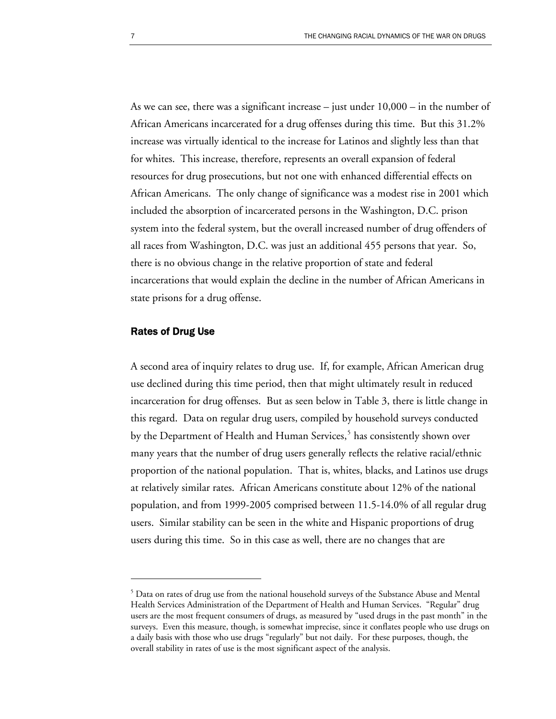As we can see, there was a significant increase – just under  $10,000$  – in the number of African Americans incarcerated for a drug offenses during this time. But this 31.2% increase was virtually identical to the increase for Latinos and slightly less than that for whites. This increase, therefore, represents an overall expansion of federal resources for drug prosecutions, but not one with enhanced differential effects on African Americans. The only change of significance was a modest rise in 2001 which included the absorption of incarcerated persons in the Washington, D.C. prison system into the federal system, but the overall increased number of drug offenders of all races from Washington, D.C. was just an additional 455 persons that year. So, there is no obvious change in the relative proportion of state and federal incarcerations that would explain the decline in the number of African Americans in state prisons for a drug offense.

#### Rates of Drug Use

 $\overline{a}$ 

A second area of inquiry relates to drug use. If, for example, African American drug use declined during this time period, then that might ultimately result in reduced incarceration for drug offenses. But as seen below in Table 3, there is little change in this regard. Data on regular drug users, compiled by household surveys conducted by the Department of Health and Human Services,<sup>[5](#page-8-0)</sup> has consistently shown over many years that the number of drug users generally reflects the relative racial/ethnic proportion of the national population. That is, whites, blacks, and Latinos use drugs at relatively similar rates. African Americans constitute about 12% of the national population, and from 1999-2005 comprised between 11.5-14.0% of all regular drug users. Similar stability can be seen in the white and Hispanic proportions of drug users during this time. So in this case as well, there are no changes that are

<span id="page-8-0"></span> $5$  Data on rates of drug use from the national household surveys of the Substance Abuse and Mental Health Services Administration of the Department of Health and Human Services. "Regular" drug users are the most frequent consumers of drugs, as measured by "used drugs in the past month" in the surveys. Even this measure, though, is somewhat imprecise, since it conflates people who use drugs on a daily basis with those who use drugs "regularly" but not daily. For these purposes, though, the overall stability in rates of use is the most significant aspect of the analysis.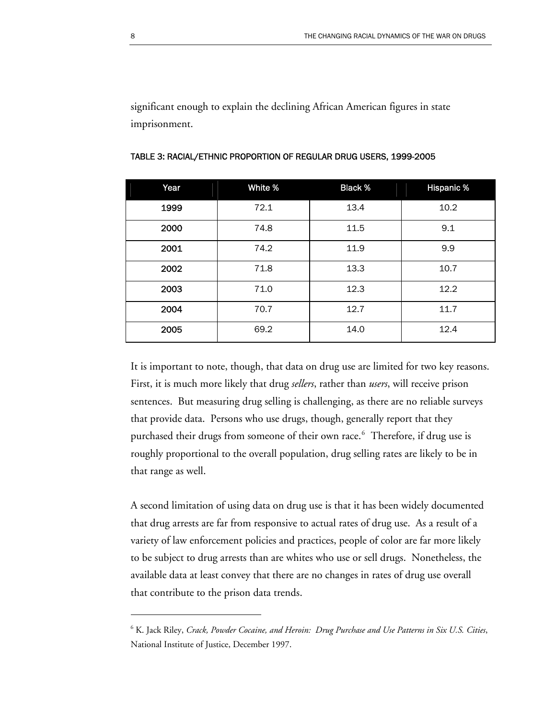significant enough to explain the declining African American figures in state imprisonment.

| Year | White % | <b>Black %</b> | <b>Hispanic %</b> |
|------|---------|----------------|-------------------|
| 1999 | 72.1    | 13.4           | 10.2              |
| 2000 | 74.8    | 11.5           | 9.1               |
| 2001 | 74.2    | 11.9           | 9.9               |
| 2002 | 71.8    | 13.3           | 10.7              |
| 2003 | 71.0    | 12.3           | 12.2              |
| 2004 | 70.7    | 12.7           | 11.7              |
| 2005 | 69.2    | 14.0           | 12.4              |

TABLE 3: RACIAL/ETHNIC PROPORTION OF REGULAR DRUG USERS, 1999-2005

It is important to note, though, that data on drug use are limited for two key reasons. First, it is much more likely that drug *sellers*, rather than *users*, will receive prison sentences. But measuring drug selling is challenging, as there are no reliable surveys that provide data. Persons who use drugs, though, generally report that they purchased their drugs from someone of their own race.<sup>[6](#page-9-0)</sup> Therefore, if drug use is roughly proportional to the overall population, drug selling rates are likely to be in that range as well.

A second limitation of using data on drug use is that it has been widely documented that drug arrests are far from responsive to actual rates of drug use. As a result of a variety of law enforcement policies and practices, people of color are far more likely to be subject to drug arrests than are whites who use or sell drugs. Nonetheless, the available data at least convey that there are no changes in rates of drug use overall that contribute to the prison data trends.

<span id="page-9-0"></span><sup>6</sup> K. Jack Riley, *Crack, Powder Cocaine, and Heroin: Drug Purchase and Use Patterns in Six U.S. Cities*, National Institute of Justice, December 1997.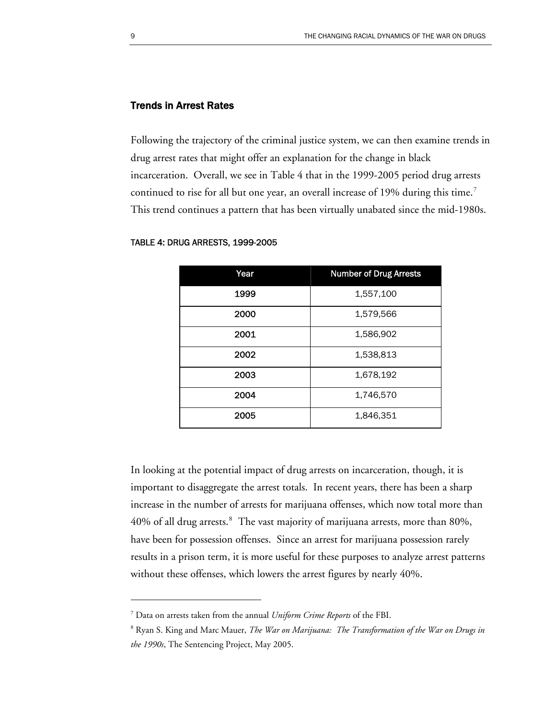### Trends in Arrest Rates

Following the trajectory of the criminal justice system, we can then examine trends in drug arrest rates that might offer an explanation for the change in black incarceration. Overall, we see in Table 4 that in the 1999-2005 period drug arrests continued to rise for all but one year, an overall increase of 19% during this time.<sup>[7](#page-10-0)</sup> This trend continues a pattern that has been virtually unabated since the mid-1980s.

| Year | <b>Number of Drug Arrests</b> |
|------|-------------------------------|
| 1999 | 1,557,100                     |
| 2000 | 1,579,566                     |
| 2001 | 1,586,902                     |
| 2002 | 1,538,813                     |
| 2003 | 1,678,192                     |
| 2004 | 1,746,570                     |
| 2005 | 1,846,351                     |

#### TABLE 4: DRUG ARRESTS, 1999-2005

In looking at the potential impact of drug arrests on incarceration, though, it is important to disaggregate the arrest totals. In recent years, there has been a sharp increase in the number of arrests for marijuana offenses, which now total more than  $40\%$  of all drug arrests. $8$  The vast majority of marijuana arrests, more than  $80\%$ , have been for possession offenses. Since an arrest for marijuana possession rarely results in a prison term, it is more useful for these purposes to analyze arrest patterns without these offenses, which lowers the arrest figures by nearly 40%.

<span id="page-10-0"></span><sup>7</sup> Data on arrests taken from the annual *Uniform Crime Reports* of the FBI.

<span id="page-10-1"></span><sup>&</sup>lt;sup>8</sup> Ryan S. King and Marc Mauer, *The War on Marijuana: The Transformation of the War on Drugs in the 1990s*, The Sentencing Project, May 2005.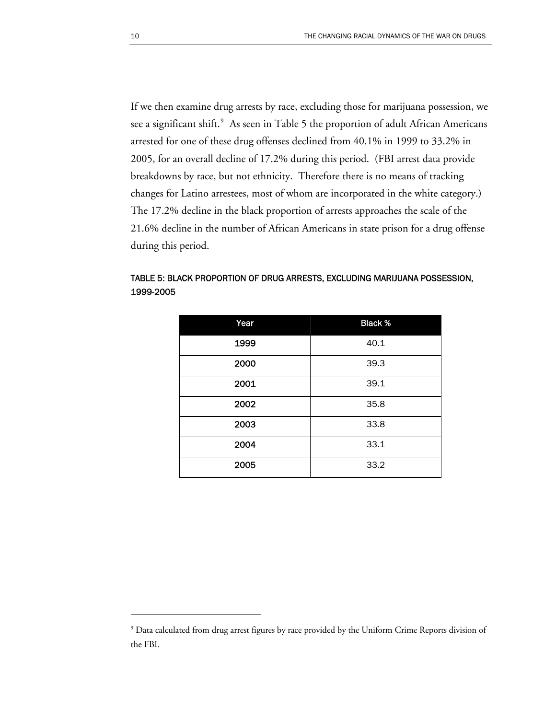If we then examine drug arrests by race, excluding those for marijuana possession, we see a significant shift. $9$  As seen in Table 5 the proportion of adult African Americans arrested for one of these drug offenses declined from 40.1% in 1999 to 33.2% in 2005, for an overall decline of 17.2% during this period. (FBI arrest data provide breakdowns by race, but not ethnicity. Therefore there is no means of tracking changes for Latino arrestees, most of whom are incorporated in the white category.) The 17.2% decline in the black proportion of arrests approaches the scale of the 21.6% decline in the number of African Americans in state prison for a drug offense during this period.

### TABLE 5: BLACK PROPORTION OF DRUG ARRESTS, EXCLUDING MARIJUANA POSSESSION, 1999-2005

| Year | <b>Black %</b> |
|------|----------------|
| 1999 | 40.1           |
| 2000 | 39.3           |
| 2001 | 39.1           |
| 2002 | 35.8           |
| 2003 | 33.8           |
| 2004 | 33.1           |
| 2005 | 33.2           |

<span id="page-11-0"></span><sup>&</sup>lt;sup>9</sup> Data calculated from drug arrest figures by race provided by the Uniform Crime Reports division of the FBI.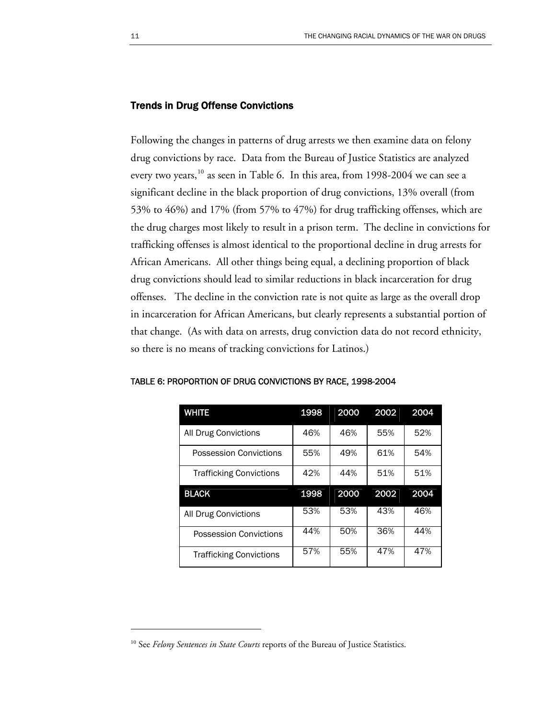#### Trends in Drug Offense Convictions

Following the changes in patterns of drug arrests we then examine data on felony drug convictions by race. Data from the Bureau of Justice Statistics are analyzed every two years,  $^{10}$  $^{10}$  $^{10}$  as seen in Table 6. In this area, from 1998-2004 we can see a significant decline in the black proportion of drug convictions, 13% overall (from 53% to 46%) and 17% (from 57% to 47%) for drug trafficking offenses, which are the drug charges most likely to result in a prison term. The decline in convictions for trafficking offenses is almost identical to the proportional decline in drug arrests for African Americans. All other things being equal, a declining proportion of black drug convictions should lead to similar reductions in black incarceration for drug offenses. The decline in the conviction rate is not quite as large as the overall drop in incarceration for African Americans, but clearly represents a substantial portion of that change. (As with data on arrests, drug conviction data do not record ethnicity, so there is no means of tracking convictions for Latinos.)

| <b>WHITE</b>                   | 1998 | 2000 | 2002 | 2004 |
|--------------------------------|------|------|------|------|
| All Drug Convictions           | 46%  | 46%  | 55%  | 52%  |
| Possession Convictions         | 55%  | 49%  | 61%  | 54%  |
| <b>Trafficking Convictions</b> | 42%  | 44%  | 51%  | 51%  |
| <b>BLACK</b>                   | 1998 | 2000 | 2002 | 2004 |
|                                |      |      |      |      |
| <b>All Drug Convictions</b>    | 53%  | 53%  | 43%  | 46%  |
| Possession Convictions         | 44%  | 50%  | 36%  | 44%  |

#### TABLE 6: PROPORTION OF DRUG CONVICTIONS BY RACE, 1998-2004

<span id="page-12-0"></span><sup>&</sup>lt;sup>10</sup> See *Felony Sentences in State Courts* reports of the Bureau of Justice Statistics.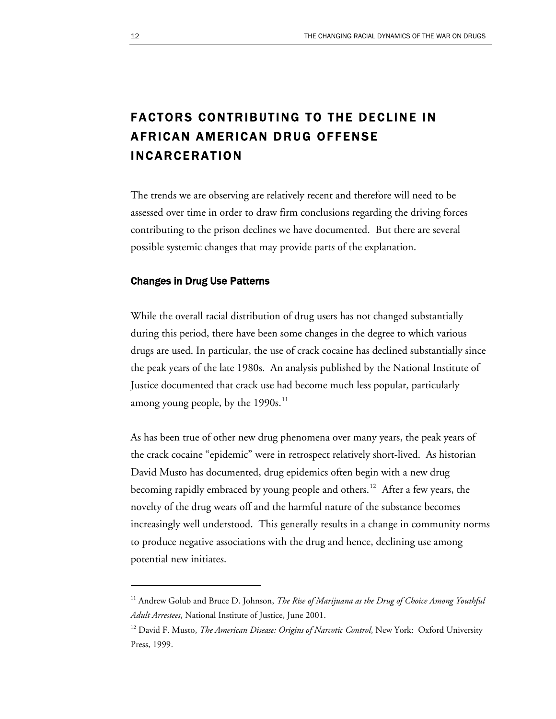# FACTORS CONTRIBUTING TO THE DECLINE IN AFRICAN AMERICAN DRUG OFFENSE INCARCERATION

The trends we are observing are relatively recent and therefore will need to be assessed over time in order to draw firm conclusions regarding the driving forces contributing to the prison declines we have documented. But there are several possible systemic changes that may provide parts of the explanation.

#### Changes in Drug Use Patterns

While the overall racial distribution of drug users has not changed substantially during this period, there have been some changes in the degree to which various drugs are used. In particular, the use of crack cocaine has declined substantially since the peak years of the late 1980s. An analysis published by the National Institute of Justice documented that crack use had become much less popular, particularly among young people, by the  $1990s$ <sup>[11](#page-13-0)</sup>

As has been true of other new drug phenomena over many years, the peak years of the crack cocaine "epidemic" were in retrospect relatively short-lived. As historian David Musto has documented, drug epidemics often begin with a new drug becoming rapidly embraced by young people and others.<sup>[12](#page-13-1)</sup> After a few years, the novelty of the drug wears off and the harmful nature of the substance becomes increasingly well understood. This generally results in a change in community norms to produce negative associations with the drug and hence, declining use among potential new initiates.

<span id="page-13-0"></span><sup>&</sup>lt;sup>11</sup> Andrew Golub and Bruce D. Johnson, *The Rise of Marijuana as the Drug of Choice Among Youthful Adult Arrestees*, National Institute of Justice, June 2001.

<span id="page-13-1"></span><sup>&</sup>lt;sup>12</sup> David F. Musto, *The American Disease: Origins of Narcotic Control*, New York: Oxford University Press, 1999.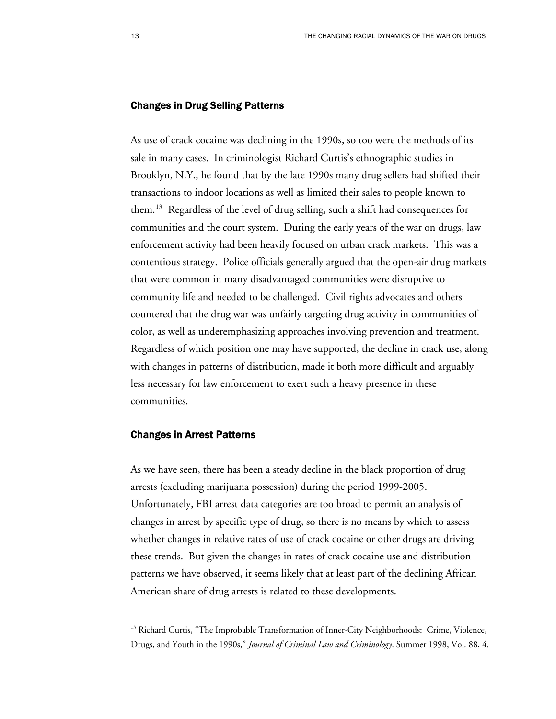#### Changes in Drug Selling Patterns

As use of crack cocaine was declining in the 1990s, so too were the methods of its sale in many cases. In criminologist Richard Curtis's ethnographic studies in Brooklyn, N.Y., he found that by the late 1990s many drug sellers had shifted their transactions to indoor locations as well as limited their sales to people known to them.[13](#page-14-0) Regardless of the level of drug selling, such a shift had consequences for communities and the court system. During the early years of the war on drugs, law enforcement activity had been heavily focused on urban crack markets. This was a contentious strategy. Police officials generally argued that the open-air drug markets that were common in many disadvantaged communities were disruptive to community life and needed to be challenged. Civil rights advocates and others countered that the drug war was unfairly targeting drug activity in communities of color, as well as underemphasizing approaches involving prevention and treatment. Regardless of which position one may have supported, the decline in crack use, along with changes in patterns of distribution, made it both more difficult and arguably less necessary for law enforcement to exert such a heavy presence in these communities.

#### Changes in Arrest Patterns

 $\overline{a}$ 

As we have seen, there has been a steady decline in the black proportion of drug arrests (excluding marijuana possession) during the period 1999-2005. Unfortunately, FBI arrest data categories are too broad to permit an analysis of changes in arrest by specific type of drug, so there is no means by which to assess whether changes in relative rates of use of crack cocaine or other drugs are driving these trends. But given the changes in rates of crack cocaine use and distribution patterns we have observed, it seems likely that at least part of the declining African American share of drug arrests is related to these developments.

<span id="page-14-0"></span><sup>&</sup>lt;sup>13</sup> Richard Curtis, "The Improbable Transformation of Inner-City Neighborhoods: Crime, Violence, Drugs, and Youth in the 1990s," *Journal of Criminal Law and Criminology*. Summer 1998, Vol. 88, 4.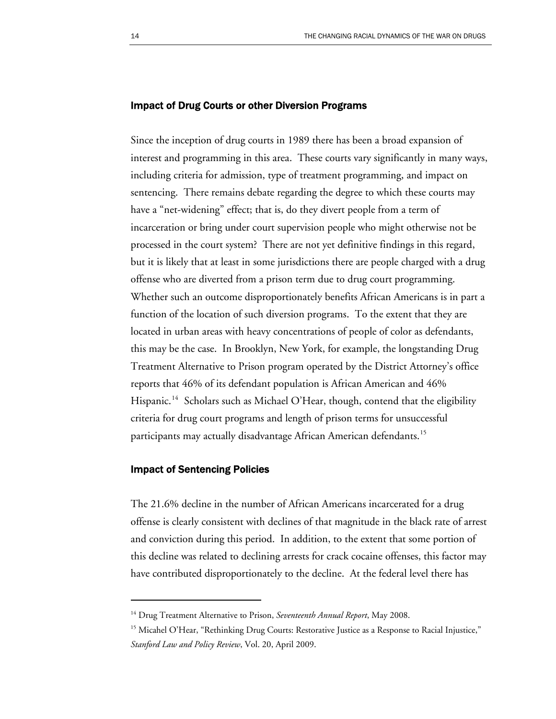#### Impact of Drug Courts or other Diversion Programs

Since the inception of drug courts in 1989 there has been a broad expansion of interest and programming in this area. These courts vary significantly in many ways, including criteria for admission, type of treatment programming, and impact on sentencing. There remains debate regarding the degree to which these courts may have a "net-widening" effect; that is, do they divert people from a term of incarceration or bring under court supervision people who might otherwise not be processed in the court system? There are not yet definitive findings in this regard, but it is likely that at least in some jurisdictions there are people charged with a drug offense who are diverted from a prison term due to drug court programming. Whether such an outcome disproportionately benefits African Americans is in part a function of the location of such diversion programs. To the extent that they are located in urban areas with heavy concentrations of people of color as defendants, this may be the case. In Brooklyn, New York, for example, the longstanding Drug Treatment Alternative to Prison program operated by the District Attorney's office reports that 46% of its defendant population is African American and 46% Hispanic.<sup>[14](#page-15-0)</sup> Scholars such as Michael O'Hear, though, contend that the eligibility criteria for drug court programs and length of prison terms for unsuccessful participants may actually disadvantage African American defendants.<sup>[15](#page-15-1)</sup>

#### Impact of Sentencing Policies

 $\overline{a}$ 

The 21.6% decline in the number of African Americans incarcerated for a drug offense is clearly consistent with declines of that magnitude in the black rate of arrest and conviction during this period. In addition, to the extent that some portion of this decline was related to declining arrests for crack cocaine offenses, this factor may have contributed disproportionately to the decline. At the federal level there has

<span id="page-15-0"></span><sup>&</sup>lt;sup>14</sup> Drug Treatment Alternative to Prison, *Seventeenth Annual Report*, May 2008.

<span id="page-15-1"></span><sup>&</sup>lt;sup>15</sup> Micahel O'Hear, "Rethinking Drug Courts: Restorative Justice as a Response to Racial Injustice," *Stanford Law and Policy Review*, Vol. 20, April 2009.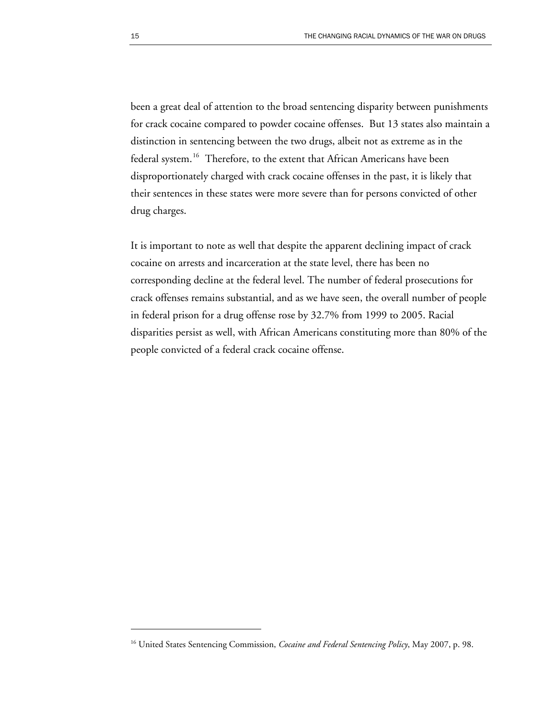been a great deal of attention to the broad sentencing disparity between punishments for crack cocaine compared to powder cocaine offenses. But 13 states also maintain a distinction in sentencing between the two drugs, albeit not as extreme as in the federal system.<sup>[16](#page-16-0)</sup> Therefore, to the extent that African Americans have been disproportionately charged with crack cocaine offenses in the past, it is likely that their sentences in these states were more severe than for persons convicted of other drug charges.

It is important to note as well that despite the apparent declining impact of crack cocaine on arrests and incarceration at the state level, there has been no corresponding decline at the federal level. The number of federal prosecutions for crack offenses remains substantial, and as we have seen, the overall number of people in federal prison for a drug offense rose by 32.7% from 1999 to 2005. Racial disparities persist as well, with African Americans constituting more than 80% of the people convicted of a federal crack cocaine offense.

<span id="page-16-0"></span><sup>&</sup>lt;sup>16</sup> United States Sentencing Commission, *Cocaine and Federal Sentencing Policy*, May 2007, p. 98.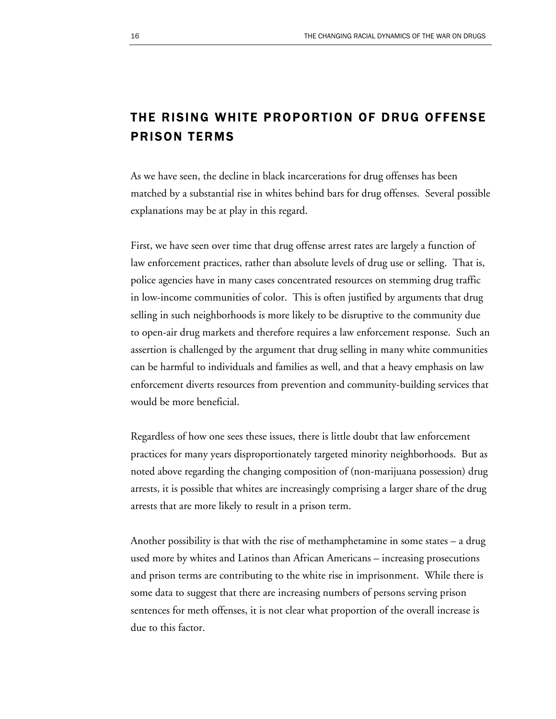## THE RISING WHITE PROPORTION OF DRUG OFFENSE PRISON TERMS

As we have seen, the decline in black incarcerations for drug offenses has been matched by a substantial rise in whites behind bars for drug offenses. Several possible explanations may be at play in this regard.

First, we have seen over time that drug offense arrest rates are largely a function of law enforcement practices, rather than absolute levels of drug use or selling. That is, police agencies have in many cases concentrated resources on stemming drug traffic in low-income communities of color. This is often justified by arguments that drug selling in such neighborhoods is more likely to be disruptive to the community due to open-air drug markets and therefore requires a law enforcement response. Such an assertion is challenged by the argument that drug selling in many white communities can be harmful to individuals and families as well, and that a heavy emphasis on law enforcement diverts resources from prevention and community-building services that would be more beneficial.

Regardless of how one sees these issues, there is little doubt that law enforcement practices for many years disproportionately targeted minority neighborhoods. But as noted above regarding the changing composition of (non-marijuana possession) drug arrests, it is possible that whites are increasingly comprising a larger share of the drug arrests that are more likely to result in a prison term.

Another possibility is that with the rise of methamphetamine in some states – a drug used more by whites and Latinos than African Americans – increasing prosecutions and prison terms are contributing to the white rise in imprisonment. While there is some data to suggest that there are increasing numbers of persons serving prison sentences for meth offenses, it is not clear what proportion of the overall increase is due to this factor.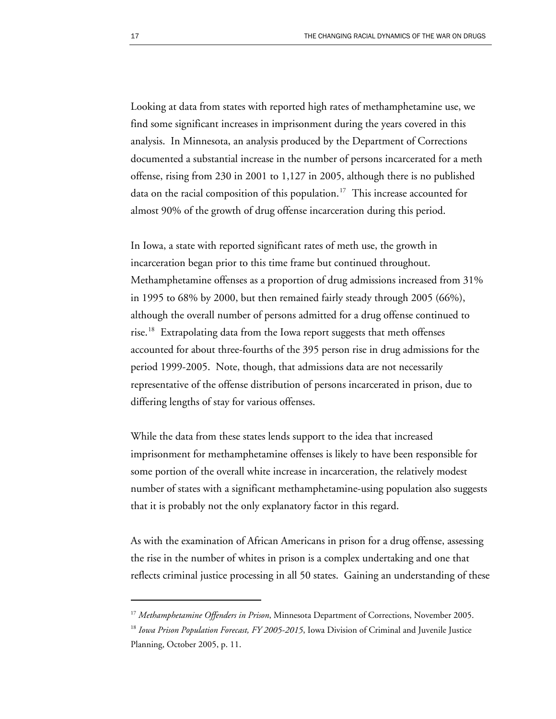Looking at data from states with reported high rates of methamphetamine use, we find some significant increases in imprisonment during the years covered in this analysis. In Minnesota, an analysis produced by the Department of Corrections documented a substantial increase in the number of persons incarcerated for a meth offense, rising from 230 in 2001 to 1,127 in 2005, although there is no published data on the racial composition of this population.<sup>[17](#page-18-0)</sup> This increase accounted for almost 90% of the growth of drug offense incarceration during this period.

In Iowa, a state with reported significant rates of meth use, the growth in incarceration began prior to this time frame but continued throughout. Methamphetamine offenses as a proportion of drug admissions increased from 31% in 1995 to 68% by 2000, but then remained fairly steady through 2005 (66%), although the overall number of persons admitted for a drug offense continued to rise.<sup>[18](#page-18-1)</sup> Extrapolating data from the Iowa report suggests that meth offenses accounted for about three-fourths of the 395 person rise in drug admissions for the period 1999-2005. Note, though, that admissions data are not necessarily representative of the offense distribution of persons incarcerated in prison, due to differing lengths of stay for various offenses.

While the data from these states lends support to the idea that increased imprisonment for methamphetamine offenses is likely to have been responsible for some portion of the overall white increase in incarceration, the relatively modest number of states with a significant methamphetamine-using population also suggests that it is probably not the only explanatory factor in this regard.

As with the examination of African Americans in prison for a drug offense, assessing the rise in the number of whites in prison is a complex undertaking and one that reflects criminal justice processing in all 50 states. Gaining an understanding of these

<span id="page-18-0"></span><sup>17</sup> *Methamphetamine Offenders in Prison*, Minnesota Department of Corrections, November 2005.

<span id="page-18-1"></span><sup>&</sup>lt;sup>18</sup> *Iowa Prison Population Forecast, FY 2005-2015*, Iowa Division of Criminal and Juvenile Justice Planning, October 2005, p. 11.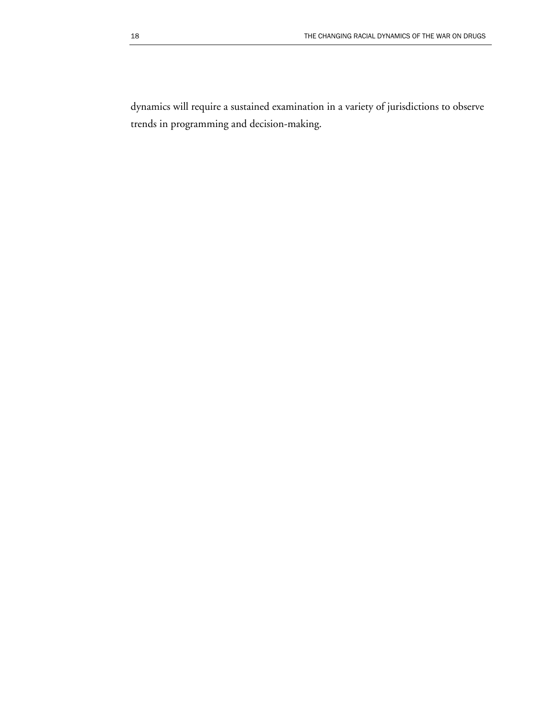dynamics will require a sustained examination in a variety of jurisdictions to observe trends in programming and decision-making.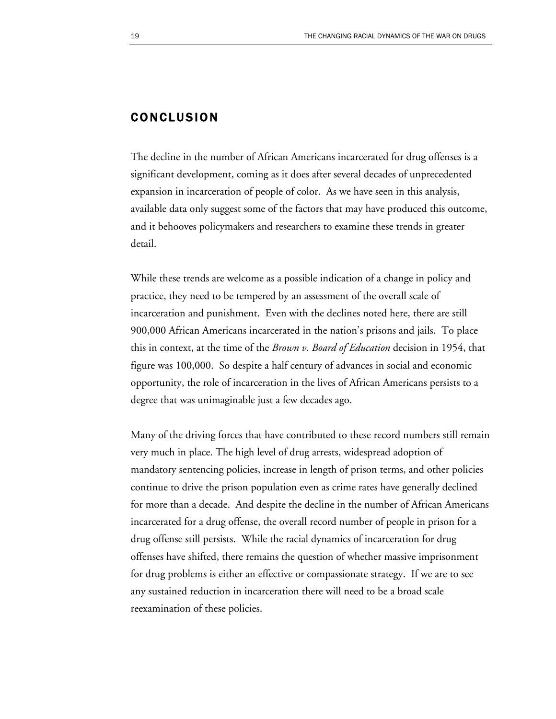### CONCLUSION

The decline in the number of African Americans incarcerated for drug offenses is a significant development, coming as it does after several decades of unprecedented expansion in incarceration of people of color. As we have seen in this analysis, available data only suggest some of the factors that may have produced this outcome, and it behooves policymakers and researchers to examine these trends in greater detail.

While these trends are welcome as a possible indication of a change in policy and practice, they need to be tempered by an assessment of the overall scale of incarceration and punishment. Even with the declines noted here, there are still 900,000 African Americans incarcerated in the nation's prisons and jails. To place this in context, at the time of the *Brown v. Board of Education* decision in 1954, that figure was 100,000. So despite a half century of advances in social and economic opportunity, the role of incarceration in the lives of African Americans persists to a degree that was unimaginable just a few decades ago.

Many of the driving forces that have contributed to these record numbers still remain very much in place. The high level of drug arrests, widespread adoption of mandatory sentencing policies, increase in length of prison terms, and other policies continue to drive the prison population even as crime rates have generally declined for more than a decade. And despite the decline in the number of African Americans incarcerated for a drug offense, the overall record number of people in prison for a drug offense still persists. While the racial dynamics of incarceration for drug offenses have shifted, there remains the question of whether massive imprisonment for drug problems is either an effective or compassionate strategy. If we are to see any sustained reduction in incarceration there will need to be a broad scale reexamination of these policies.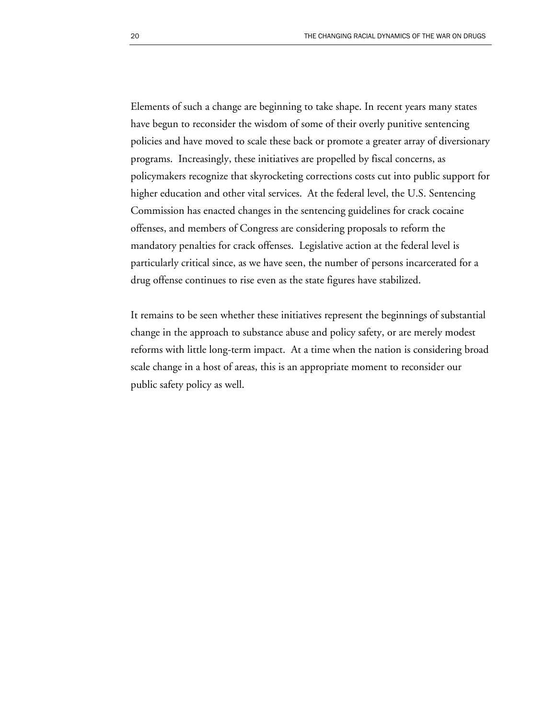Elements of such a change are beginning to take shape. In recent years many states have begun to reconsider the wisdom of some of their overly punitive sentencing policies and have moved to scale these back or promote a greater array of diversionary programs. Increasingly, these initiatives are propelled by fiscal concerns, as policymakers recognize that skyrocketing corrections costs cut into public support for higher education and other vital services. At the federal level, the U.S. Sentencing Commission has enacted changes in the sentencing guidelines for crack cocaine offenses, and members of Congress are considering proposals to reform the mandatory penalties for crack offenses. Legislative action at the federal level is particularly critical since, as we have seen, the number of persons incarcerated for a drug offense continues to rise even as the state figures have stabilized.

It remains to be seen whether these initiatives represent the beginnings of substantial change in the approach to substance abuse and policy safety, or are merely modest reforms with little long-term impact. At a time when the nation is considering broad scale change in a host of areas, this is an appropriate moment to reconsider our public safety policy as well.